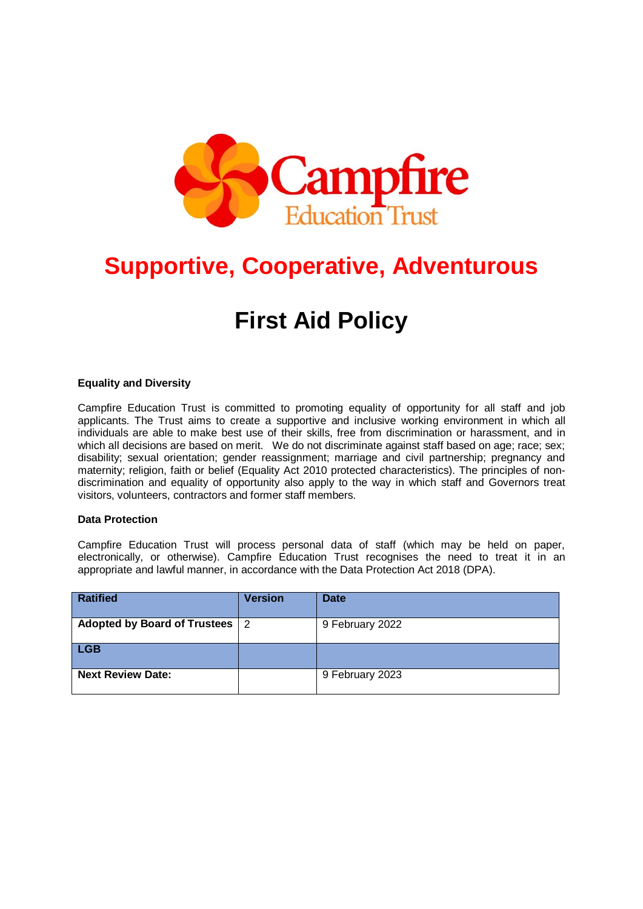

# **Supportive, Cooperative, Adventurous**

# **First Aid Policy**

#### **Equality and Diversity**

Campfire Education Trust is committed to promoting equality of opportunity for all staff and job applicants. The Trust aims to create a supportive and inclusive working environment in which all individuals are able to make best use of their skills, free from discrimination or harassment, and in which all decisions are based on merit. We do not discriminate against staff based on age; race; sex; disability; sexual orientation; gender reassignment; marriage and civil partnership; pregnancy and maternity; religion, faith or belief (Equality Act 2010 protected characteristics). The principles of nondiscrimination and equality of opportunity also apply to the way in which staff and Governors treat visitors, volunteers, contractors and former staff members.

#### **Data Protection**

Campfire Education Trust will process personal data of staff (which may be held on paper, electronically, or otherwise). Campfire Education Trust recognises the need to treat it in an appropriate and lawful manner, in accordance with the Data Protection Act 2018 (DPA).

| <b>Ratified</b>              | <b>Version</b> | <b>Date</b>     |
|------------------------------|----------------|-----------------|
| Adopted by Board of Trustees | -2             | 9 February 2022 |
| <b>LGB</b>                   |                |                 |
| <b>Next Review Date:</b>     |                | 9 February 2023 |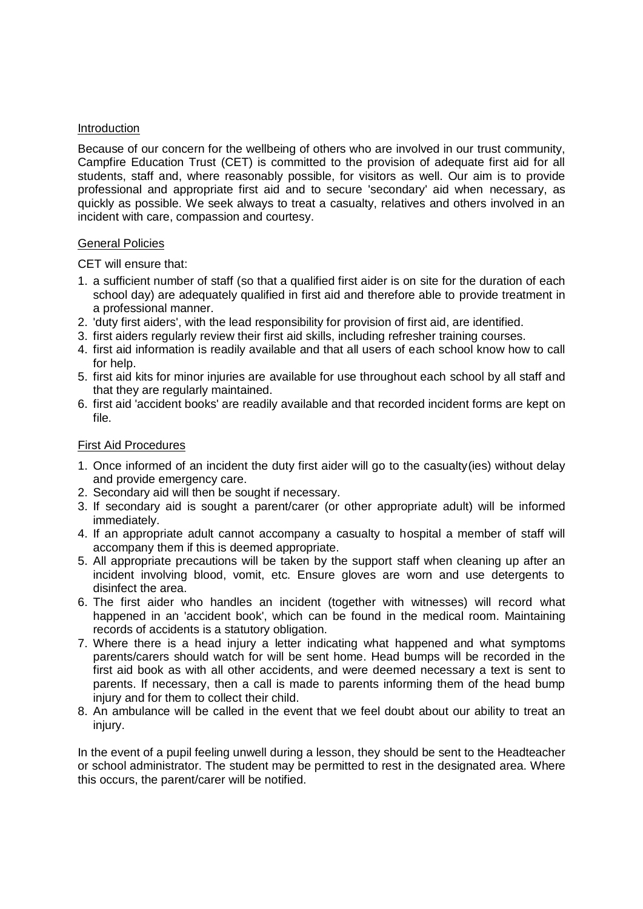#### Introduction

Because of our concern for the wellbeing of others who are involved in our trust community, Campfire Education Trust (CET) is committed to the provision of adequate first aid for all students, staff and, where reasonably possible, for visitors as well. Our aim is to provide professional and appropriate first aid and to secure 'secondary' aid when necessary, as quickly as possible. We seek always to treat a casualty, relatives and others involved in an incident with care, compassion and courtesy.

#### General Policies

CET will ensure that:

- 1. a sufficient number of staff (so that a qualified first aider is on site for the duration of each school day) are adequately qualified in first aid and therefore able to provide treatment in a professional manner.
- 2. 'duty first aiders', with the lead responsibility for provision of first aid, are identified.
- 3. first aiders regularly review their first aid skills, including refresher training courses.
- 4. first aid information is readily available and that all users of each school know how to call for help.
- 5. first aid kits for minor injuries are available for use throughout each school by all staff and that they are regularly maintained.
- 6. first aid 'accident books' are readily available and that recorded incident forms are kept on file.

#### First Aid Procedures

- 1. Once informed of an incident the duty first aider will go to the casualty(ies) without delay and provide emergency care.
- 2. Secondary aid will then be sought if necessary.
- 3. If secondary aid is sought a parent/carer (or other appropriate adult) will be informed immediately.
- 4. If an appropriate adult cannot accompany a casualty to hospital a member of staff will accompany them if this is deemed appropriate.
- 5. All appropriate precautions will be taken by the support staff when cleaning up after an incident involving blood, vomit, etc. Ensure gloves are worn and use detergents to disinfect the area.
- 6. The first aider who handles an incident (together with witnesses) will record what happened in an 'accident book', which can be found in the medical room. Maintaining records of accidents is a statutory obligation.
- 7. Where there is a head injury a letter indicating what happened and what symptoms parents/carers should watch for will be sent home. Head bumps will be recorded in the first aid book as with all other accidents, and were deemed necessary a text is sent to parents. If necessary, then a call is made to parents informing them of the head bump injury and for them to collect their child.
- 8. An ambulance will be called in the event that we feel doubt about our ability to treat an injury.

In the event of a pupil feeling unwell during a lesson, they should be sent to the Headteacher or school administrator. The student may be permitted to rest in the designated area. Where this occurs, the parent/carer will be notified.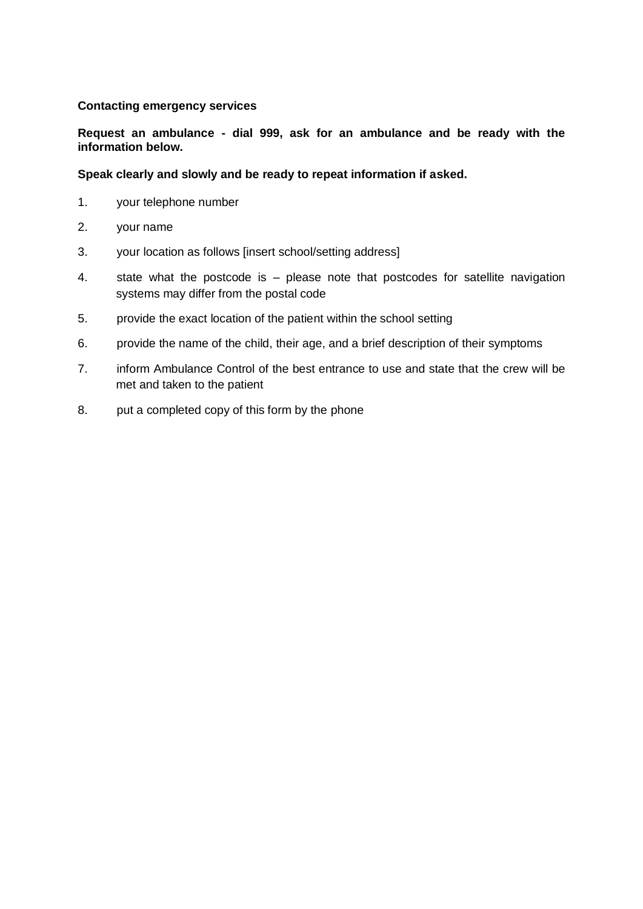#### **Contacting emergency services**

**Request an ambulance - dial 999, ask for an ambulance and be ready with the information below.**

#### **Speak clearly and slowly and be ready to repeat information if asked.**

- 1. your telephone number
- 2. your name
- 3. your location as follows [insert school/setting address]
- 4. state what the postcode is please note that postcodes for satellite navigation systems may differ from the postal code
- 5. provide the exact location of the patient within the school setting
- 6. provide the name of the child, their age, and a brief description of their symptoms
- 7. inform Ambulance Control of the best entrance to use and state that the crew will be met and taken to the patient
- 8. put a completed copy of this form by the phone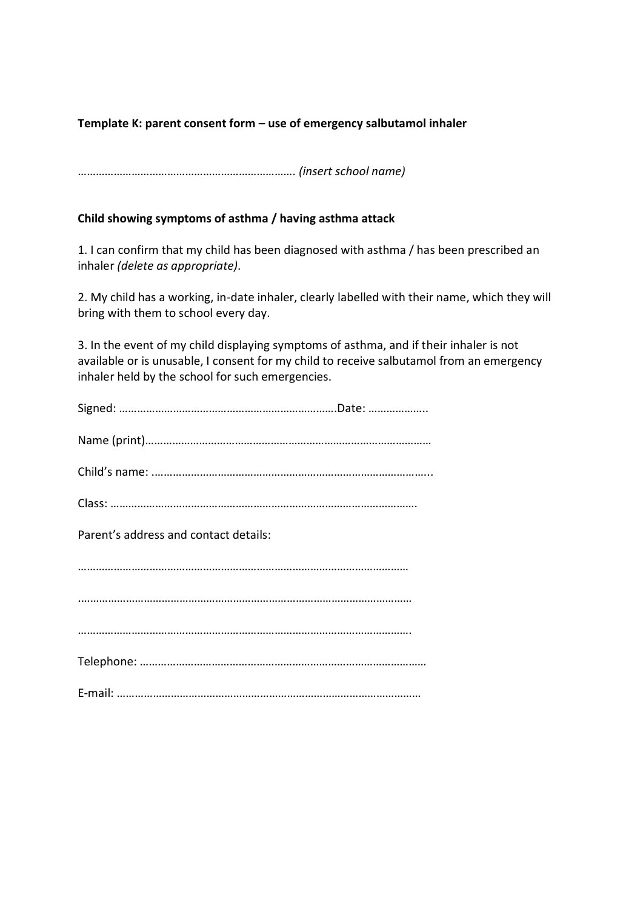## **Template K: parent consent form – use of emergency salbutamol inhaler**

………………………………………………………………. *(insert school name)*

### **Child showing symptoms of asthma / having asthma attack**

1. I can confirm that my child has been diagnosed with asthma / has been prescribed an inhaler *(delete as appropriate)*.

2. My child has a working, in-date inhaler, clearly labelled with their name, which they will bring with them to school every day.

3. In the event of my child displaying symptoms of asthma, and if their inhaler is not available or is unusable, I consent for my child to receive salbutamol from an emergency inhaler held by the school for such emergencies.

| Parent's address and contact details: |
|---------------------------------------|
|                                       |
|                                       |
|                                       |
|                                       |
|                                       |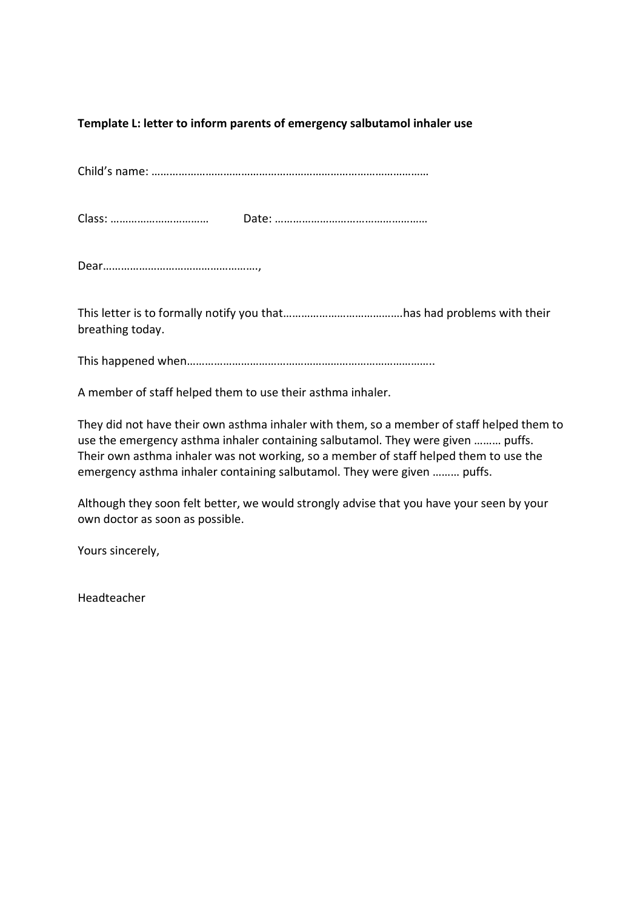## **Template L: letter to inform parents of emergency salbutamol inhaler use**

Child's name: …………………………………………………………………………………

Class: …………………………… Date: ……………………………………………

Dear…………………………………………….,

This letter is to formally notify you that………………………………….has had problems with their breathing today.

This happened when………………………………………………………………………..

A member of staff helped them to use their asthma inhaler.

They did not have their own asthma inhaler with them, so a member of staff helped them to use the emergency asthma inhaler containing salbutamol. They were given ……… puffs. Their own asthma inhaler was not working, so a member of staff helped them to use the emergency asthma inhaler containing salbutamol. They were given ……… puffs.

Although they soon felt better, we would strongly advise that you have your seen by your own doctor as soon as possible.

Yours sincerely,

Headteacher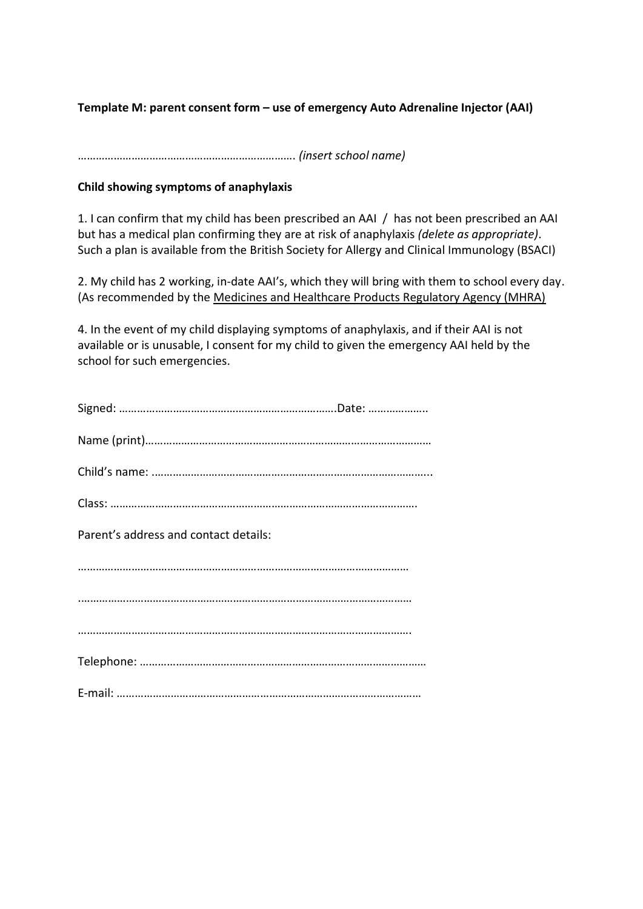**Template M: parent consent form – use of emergency Auto Adrenaline Injector (AAI)** 

………………………………………………………………. *(insert school name)*

### **Child showing symptoms of anaphylaxis**

1. I can confirm that my child has been prescribed an AAI / has not been prescribed an AAI but has a medical plan confirming they are at risk of anaphylaxis *(delete as appropriate)*. Such a plan is available from the British Society for Allergy and Clinical Immunology (BSACI)

2. My child has 2 working, in-date AAI's, which they will bring with them to school every day. (As recommended by the Medicines and Healthcare Products Regulatory Agency (MHRA)

4. In the event of my child displaying symptoms of anaphylaxis, and if their AAI is not available or is unusable, I consent for my child to given the emergency AAI held by the school for such emergencies.

| Parent's address and contact details: |  |
|---------------------------------------|--|
|                                       |  |
|                                       |  |
|                                       |  |
|                                       |  |
|                                       |  |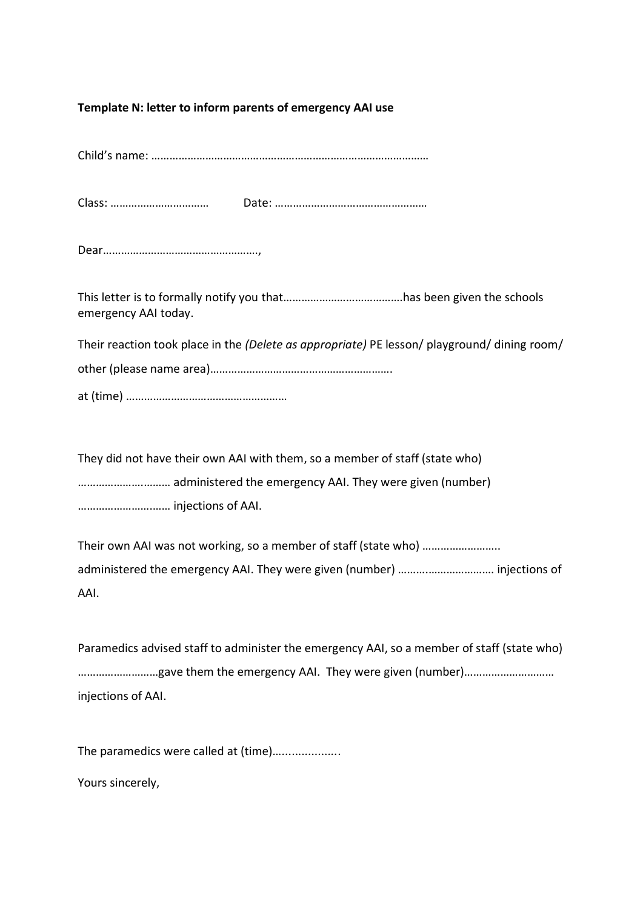#### **Template N: letter to inform parents of emergency AAI use**

Child's name: …………………………………………………………………………………

Class: …………………………… Date: ……………………………………………

This letter is to formally notify you that………………………………….has been given the schools emergency AAI today.

Their reaction took place in the *(Delete as appropriate)* PE lesson/ playground/ dining room/ other (please name area)……………………………………………………. at (time) ………………………………………………

They did not have their own AAI with them, so a member of staff (state who) ………………….……… administered the emergency AAI. They were given (number) …………………….…… injections of AAI.

Their own AAI was not working, so a member of staff (state who) …………………….. administered the emergency AAI. They were given (number) ……….…………………. injections of AAI.

Paramedics advised staff to administer the emergency AAI, so a member of staff (state who) ………………………gave them the emergency AAI. They were given (number)………………………… injections of AAI.

The paramedics were called at (time)....................

Yours sincerely,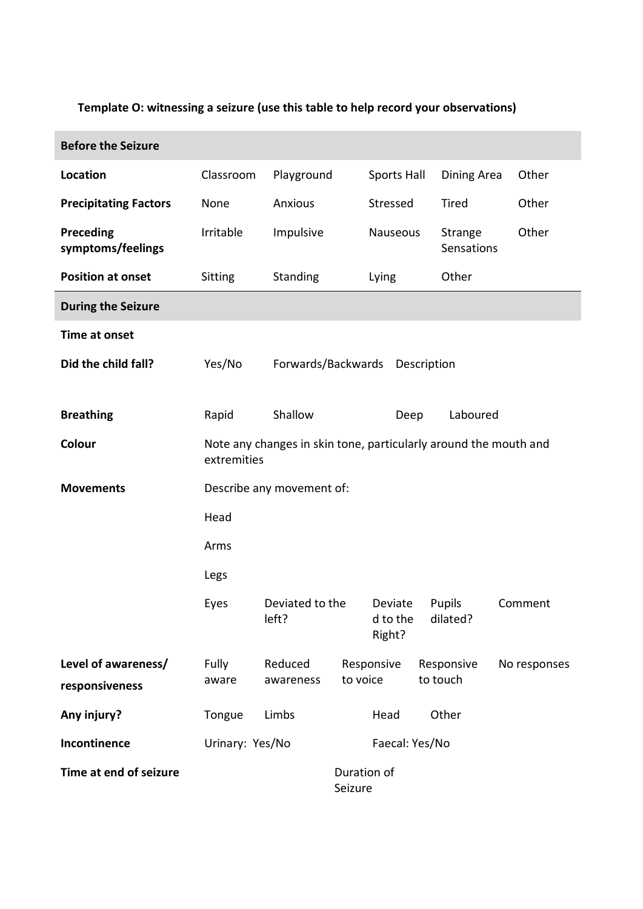## **Template O: witnessing a seizure (use this table to help record your observations)**

ľ

| <b>Before the Seizure</b>             |                                                                                 |                          |          |                               |  |                           |  |              |  |
|---------------------------------------|---------------------------------------------------------------------------------|--------------------------|----------|-------------------------------|--|---------------------------|--|--------------|--|
| <b>Location</b>                       | Classroom                                                                       | Playground               |          | Sports Hall                   |  | Dining Area               |  | Other        |  |
| <b>Precipitating Factors</b>          | None                                                                            | Anxious                  |          | Stressed                      |  | Tired                     |  | Other        |  |
| <b>Preceding</b><br>symptoms/feelings | Irritable                                                                       | Impulsive                |          | Nauseous                      |  | Strange<br>Sensations     |  | Other        |  |
| <b>Position at onset</b>              | Sitting                                                                         | Standing                 |          | Lying                         |  | Other                     |  |              |  |
| <b>During the Seizure</b>             |                                                                                 |                          |          |                               |  |                           |  |              |  |
| Time at onset                         |                                                                                 |                          |          |                               |  |                           |  |              |  |
| Did the child fall?                   | Yes/No                                                                          | Forwards/Backwards       |          | Description                   |  |                           |  |              |  |
| <b>Breathing</b>                      | Rapid                                                                           | Shallow                  |          | Deep                          |  | Laboured                  |  |              |  |
| Colour                                | Note any changes in skin tone, particularly around the mouth and<br>extremities |                          |          |                               |  |                           |  |              |  |
| <b>Movements</b>                      | Describe any movement of:                                                       |                          |          |                               |  |                           |  |              |  |
|                                       | Head                                                                            |                          |          |                               |  |                           |  |              |  |
|                                       | Arms                                                                            |                          |          |                               |  |                           |  |              |  |
|                                       | Legs                                                                            |                          |          |                               |  |                           |  |              |  |
|                                       | Eyes                                                                            | Deviated to the<br>left? |          | Deviate<br>d to the<br>Right? |  | <b>Pupils</b><br>dilated? |  | Comment      |  |
| Level of awareness/<br>responsiveness | Fully<br>aware                                                                  | Reduced<br>awareness     | to voice | Responsive                    |  | Responsive<br>to touch    |  | No responses |  |
| Any injury?                           | Tongue                                                                          | Limbs                    |          | Head                          |  | Other                     |  |              |  |
| Incontinence                          | Urinary: Yes/No<br>Faecal: Yes/No                                               |                          |          |                               |  |                           |  |              |  |
| Time at end of seizure                | Duration of<br>Seizure                                                          |                          |          |                               |  |                           |  |              |  |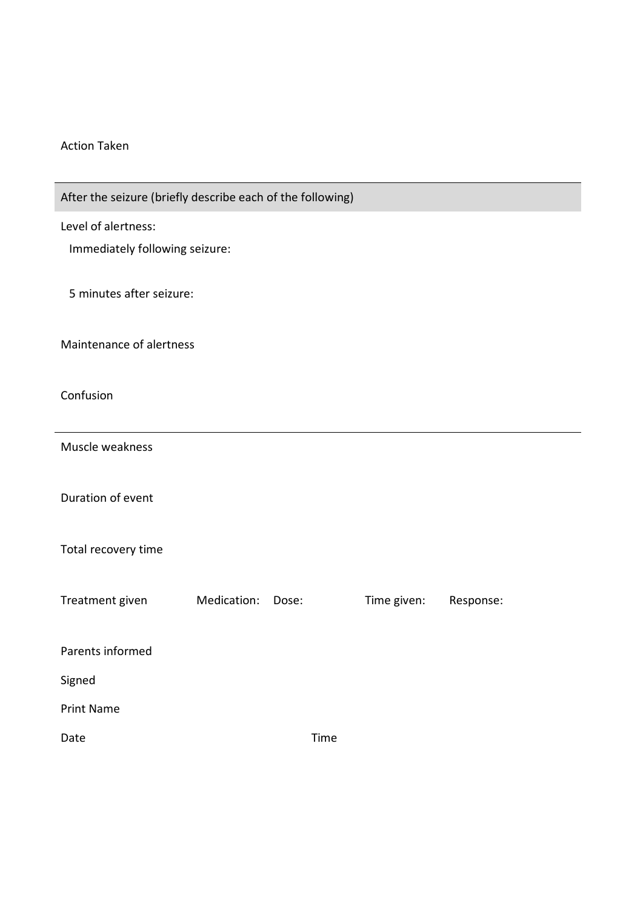#### Action Taken

| After the seizure (briefly describe each of the following) |             |       |             |           |  |
|------------------------------------------------------------|-------------|-------|-------------|-----------|--|
| Level of alertness:                                        |             |       |             |           |  |
| Immediately following seizure:                             |             |       |             |           |  |
| 5 minutes after seizure:                                   |             |       |             |           |  |
| Maintenance of alertness                                   |             |       |             |           |  |
| Confusion                                                  |             |       |             |           |  |
| Muscle weakness                                            |             |       |             |           |  |
| Duration of event                                          |             |       |             |           |  |
| Total recovery time                                        |             |       |             |           |  |
| Treatment given                                            | Medication: | Dose: | Time given: | Response: |  |
| Parents informed                                           |             |       |             |           |  |
| Signed                                                     |             |       |             |           |  |
| <b>Print Name</b>                                          |             |       |             |           |  |
| Date                                                       |             | Time  |             |           |  |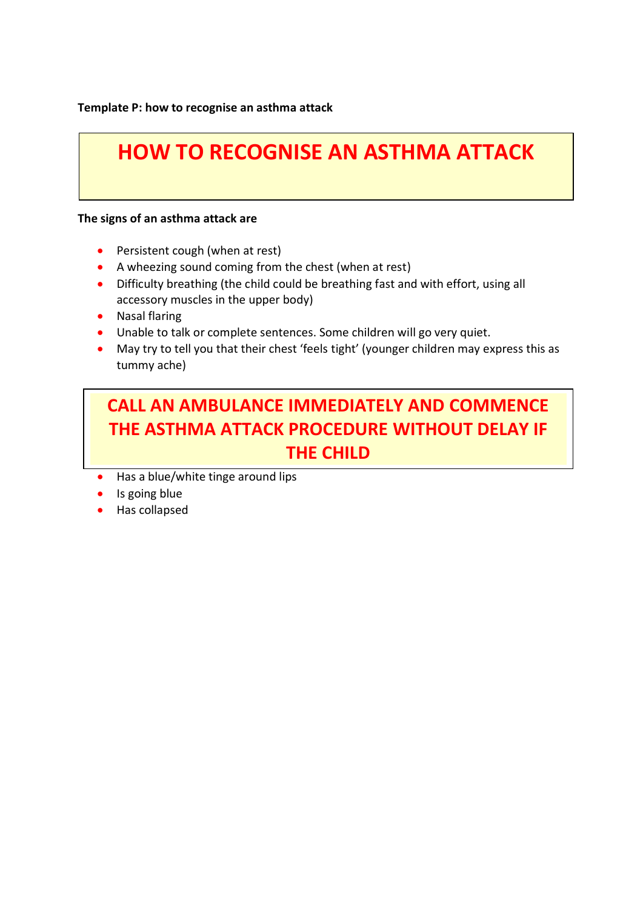**Template P: how to recognise an asthma attack**

# **HOW TO RECOGNISE AN ASTHMA ATTACK**

#### **The signs of an asthma attack are**

- Persistent cough (when at rest)
- A wheezing sound coming from the chest (when at rest)
- Difficulty breathing (the child could be breathing fast and with effort, using all accessory muscles in the upper body)
- Nasal flaring
- Unable to talk or complete sentences. Some children will go very quiet.
- May try to tell you that their chest 'feels tight' (younger children may express this as tummy ache)

# **CALL AN AMBULANCE IMMEDIATELY AND COMMENCE THE ASTHMA ATTACK PROCEDURE WITHOUT DELAY IF THE CHILD**

- Has a blue/white tinge around lips
- Is going blue
- Has collapsed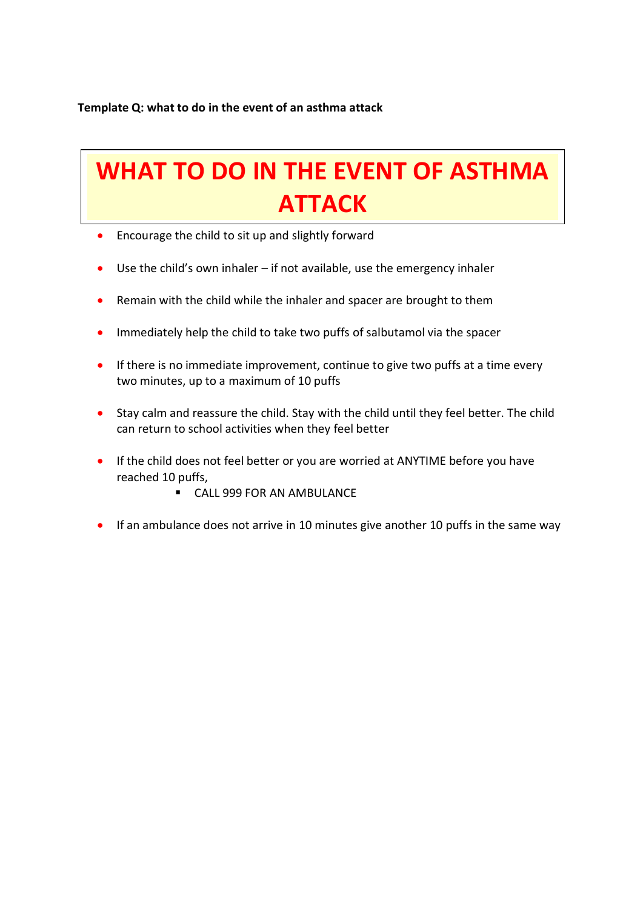### **Template Q: what to do in the event of an asthma attack**

# Keep calm and reassure the children  $\mathsf A$ **WHAT TO DO IN THE EVENT OF ASTHMA ATTACK**

- **•** Encourage the child to sit up and slightly forward
- Use the child's own inhaler if not available, use the emergency inhaler
- Remain with the child while the inhaler and spacer are brought to them
- Immediately help the child to take two puffs of salbutamol via the spacer
- **If there is no immediate improvement, continue to give two puffs at a time every** two minutes, up to a maximum of 10 puffs
- Stay calm and reassure the child. Stay with the child until they feel better. The child can return to school activities when they feel better
- If the child does not feel better or you are worried at ANYTIME before you have reached 10 puffs,
	- **CALL 999 FOR AN AMBULANCE**
- If an ambulance does not arrive in 10 minutes give another 10 puffs in the same way